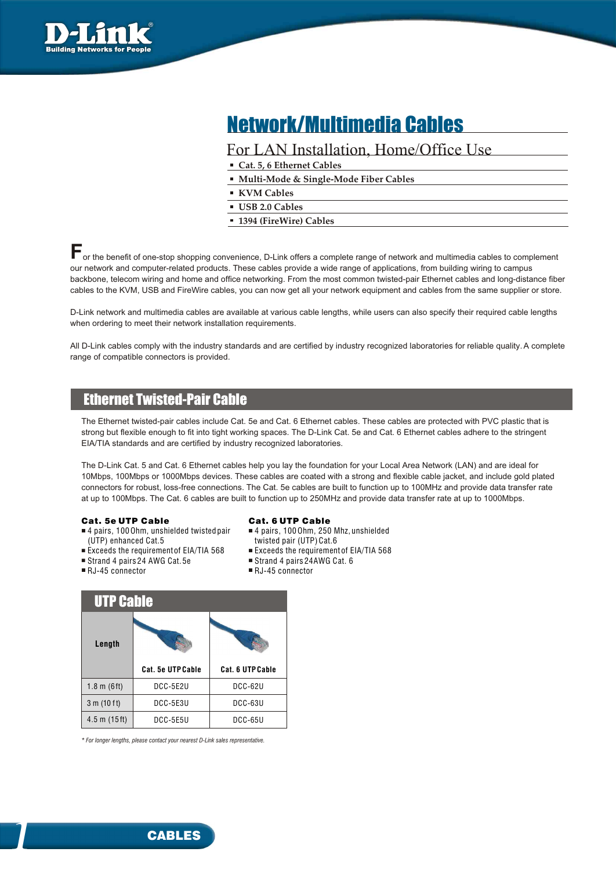

# Network/Multimedia Cables

### For LAN Installation, Home/Office Use

- **Cat. 5, 6 Ethernet Cables**
- **Multi-Mode & Single-Mode Fiber Cables**
- **KVM Cables**
- **USB 2.0 Cables**
- **1394 (FireWire) Cables**

**F** or the benefit of one-stop shopping convenience, D-Link offers a complete range of network and multimedia cables to complement our network and computer-related products. These cables provide a wide range of applications, from building wiring to campus backbone, telecom wiring and home and office networking. From the most common twisted-pair Ethernet cables and long-distance fiber cables to the KVM, USB and FireWire cables, you can now get all your network equipment and cables from the same supplier or store.

D-Link network and multimedia cables are available at various cable lengths, while users can also specify their required cable lengths when ordering to meet their network installation requirements.

All D-Link cables comply with the industry standards and are certified by industry recognized laboratories for reliable quality. A complete range of compatible connectors is provided.

## Ethernet Twisted-Pair Cable

The Ethernet twisted-pair cables include Cat. 5e and Cat. 6 Ethernet cables. These cables are protected with PVC plastic that is strong but flexible enough to fit into tight working spaces. The D-Link Cat. 5e and Cat. 6 Ethernet cables adhere to the stringent EIA/TIA standards and are certified by industry recognized laboratories.

The D-Link Cat. 5 and Cat. 6 Ethernet cables help you lay the foundation for your Local Area Network (LAN) and are ideal for 10Mbps, 100Mbps or 1000Mbps devices. These cables are coated with a strong and flexible cable jacket, and include gold plated connectors for robust, loss-free connections. The Cat. 5e cables are built to function up to 100MHz and provide data transfer rate at up to 100Mbps. The Cat. 6 cables are built to function up to 250MHz and provide data transfer rate at up to 1000Mbps.

### Cat. 5e UTP Cable

- 4 pairs, 100 Ohm, unshielded twisted pair (UTP) enhanced Cat.5
- $\blacksquare$  Exceeds the requirement of EIA/TIA 568
- Strand 4 pairs 24 AWG Cat. 5e
- RJ-45 connector

1

- Cat. 6 UTP Cable
- 4 pairs, 100 Ohm, 250 Mhz, unshielded
- twisted pair (UTP) Cat.6
- Exceeds the requirement of EIA/TIA 568
- Strand 4 pairs 24AWG Cat. 6
- RJ-45 connector

| <b>UTP Cable</b>      |                          |                  |  |  |  |  |
|-----------------------|--------------------------|------------------|--|--|--|--|
| Length                |                          |                  |  |  |  |  |
|                       |                          |                  |  |  |  |  |
|                       | <b>Cat. 5e UTP Cable</b> | Cat. 6 UTP Cable |  |  |  |  |
| $1.8 \text{ m}$ (6ft) | DCC-5E2U                 | <b>DCC-62U</b>   |  |  |  |  |
| 3 m (10 ft)           | DCC-5E3U                 | DCC-63U          |  |  |  |  |

*\* For longer lengths, please contact your nearest D-Link sales representative.*

**CABLES**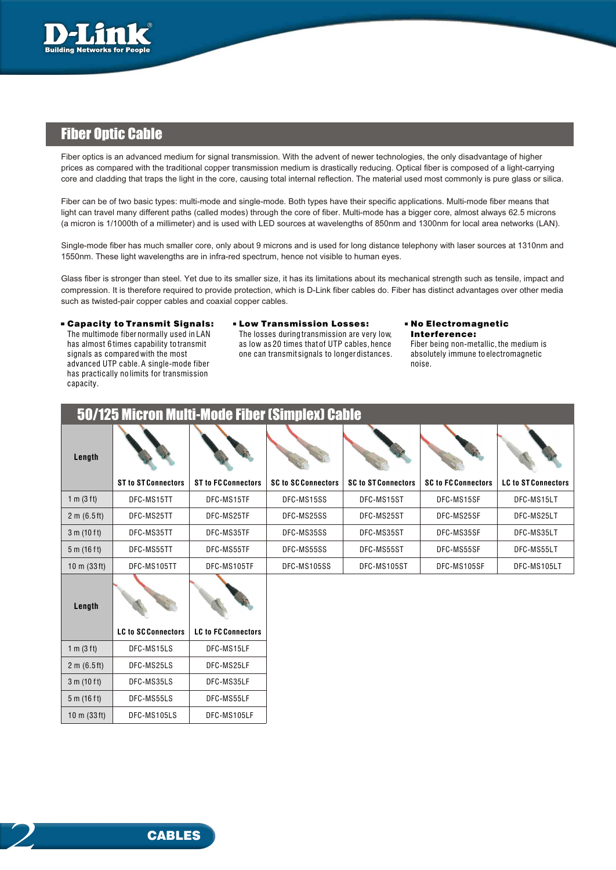

### **Fiber Optic Cable**

Fiber optics is an advanced medium for signal transmission. With the advent of newer technologies, the only disadvantage of higher prices as compared with the traditional copper transmission medium is drastically reducing. Optical fiber is composed of a light-carrying core and cladding that traps the light in the core, causing total internal reflection. The material used most commonly is pure glass or silica.

Fiber can be of two basic types: multi-mode and single-mode. Both types have their specific applications. Multi-mode fiber means that light can travel many different paths (called modes) through the core of fiber. Multi-mode has a bigger core, almost always 62.5 microns (a micron is 1/1000th of a millimeter) and is used with LED sources at wavelengths of 850nm and 1300nm for local area networks (LAN).

Single-mode fiber has much smaller core, only about 9 microns and is used for long distance telephony with laser sources at 1310nm and 1550nm. These light wavelengths are in infra-red spectrum, hence not visible to human eyes.

Glass fiber is stronger than steel. Yet due to its smaller size, it has its limitations about its mechanical strength such as tensile, impact and compression. It is therefore required to provide protection, which is D-Link fiber cables do. Fiber has distinct advantages over other media such as twisted-pair copper cables and coaxial copper cables.

■Capacity to Transmit Signals: ■ Low Transmission Losses: ■ No Electromagnetic

advanced UTP cable. A single-mode fiber noise. The contract of the contract of the contract of the contract of the contract of the contract of the contract of the contract of the contract of the contract of the contract of has practically no limits for transmission capacity.

The multimode fiber normally used in LAN The losses during transmission are very low, Interference: has almost 6 times capability to transmit as low as 20 times that of UTP cables, hence Fiber being non-metallic, the medium is signals as compared with the most one can transmitsignals to longer distances. absolutely immun one can transmit signals to longer distances. absolutely immune to electromagnetic

|                | 50/125 Micron Multi-Mode Fiber (Simplex) Cable |                            |                            |                            |                            |                            |
|----------------|------------------------------------------------|----------------------------|----------------------------|----------------------------|----------------------------|----------------------------|
| Length         | <b>ST to ST Connectors</b>                     | <b>ST to FC Connectors</b> | <b>SC to SC Connectors</b> | <b>SC to ST Connectors</b> | <b>SC to FC Connectors</b> | <b>LC to ST Connectors</b> |
| 1 m (3 ft)     | DFC-MS15TT                                     | DFC-MS15TF                 | DFC-MS15SS                 | DFC-MS15ST                 | DFC-MS15SF                 | DFC-MS15LT                 |
| 2 m (6.5 ft)   | DFC-MS25TT                                     | DFC-MS25TF                 | DFC-MS25SS                 | DFC-MS25ST                 | DFC-MS25SF                 | DFC-MS25LT                 |
| 3 m (10 ft)    | DFC-MS35TT                                     | DFC-MS35TF                 | DFC-MS35SS                 | DFC-MS35ST                 | DFC-MS35SF                 | DFC-MS35LT                 |
| 5 m (16 ft)    | DFC-MS55TT                                     | DFC-MS55TF                 | DFC-MS55SS                 | DFC-MS55ST                 | DFC-MS55SF                 | DFC-MS55LT                 |
| 10 m $(33 ft)$ | DFC-MS105TT                                    | DFC-MS105TF                | DFC-MS105SS                | DFC-MS105ST                | DFC-MS105SF                | DFC-MS105LT                |
| Length         |                                                |                            |                            |                            |                            |                            |
|                | <b>LC to SCConnectors</b>                      | <b>LC to FC Connectors</b> |                            |                            |                            |                            |
| 1 m (3 ft)     | DFC-MS15LS                                     | DFC-MS15LF                 |                            |                            |                            |                            |
| 2 m (6.5 ft)   | DFC-MS25LS                                     | DFC-MS25LF                 |                            |                            |                            |                            |
| 3 m (10 ft)    | DFC-MS35LS                                     | DFC-MS35LF                 |                            |                            |                            |                            |
| 5 m (16 ft)    | DFC-MS55LS                                     | DFC-MS55LF                 |                            |                            |                            |                            |
| 10 m $(33 ft)$ | DFC-MS105LS                                    | DFC-MS105LF                |                            |                            |                            |                            |

2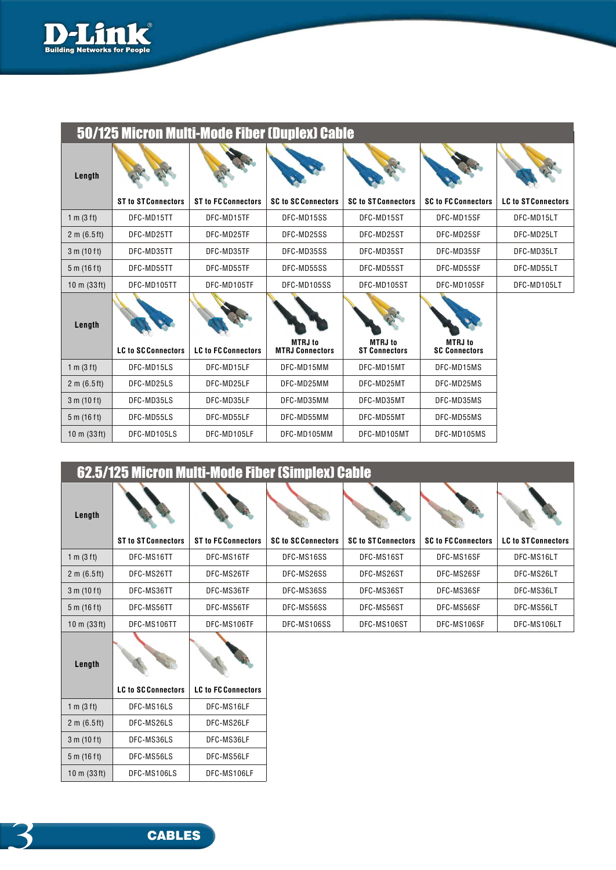

| 50/125 MICron Muiti-Mode Fider (Duplex) Cadle |                            |                            |                                          |                                        |                                        |                            |
|-----------------------------------------------|----------------------------|----------------------------|------------------------------------------|----------------------------------------|----------------------------------------|----------------------------|
| Length                                        |                            |                            |                                          |                                        |                                        |                            |
|                                               | <b>ST to ST Connectors</b> | <b>ST to FC Connectors</b> | <b>SC to SC Connectors</b>               | <b>SC to ST Connectors</b>             | <b>SC to FC Connectors</b>             | <b>LC to ST Connectors</b> |
| 1 m (3 ft)                                    | DFC-MD15TT                 | DFC-MD15TF                 | DFC-MD15SS                               | DFC-MD15ST                             | DFC-MD15SF                             | DFC-MD15LT                 |
| 2 m (6.5 ft)                                  | DFC-MD25TT                 | DFC-MD25TF                 | DFC-MD25SS                               | DFC-MD25ST                             | DFC-MD25SF                             | DFC-MD25LT                 |
| 3 m (10 ft)                                   | DFC-MD35TT                 | DFC-MD35TF                 | DFC-MD35SS                               | DFC-MD35ST                             | DFC-MD35SF                             | DFC-MD35LT                 |
| 5 m (16 ft)                                   | DFC-MD55TT                 | DFC-MD55TF                 | DFC-MD55SS                               | DFC-MD55ST                             | DFC-MD55SF                             | DFC-MD55LT                 |
| $10 \text{ m}$ (33ft)                         | DFC-MD105TT                | DFC-MD105TF                | DFC-MD105SS                              | DFC-MD105ST                            | DFC-MD105SF                            | DFC-MD105LT                |
| Length                                        |                            |                            |                                          |                                        |                                        |                            |
|                                               | <b>LC to SC Connectors</b> | <b>LC to FC Connectors</b> | <b>MTRJ</b> to<br><b>MTRJ Connectors</b> | <b>MTRJ</b> to<br><b>ST Connectors</b> | <b>MTRJ</b> to<br><b>SC Connectors</b> |                            |
| 1 m $(3 ft)$                                  | DFC-MD15LS                 | DFC-MD15LF                 | DFC-MD15MM                               | DFC-MD15MT                             | DFC-MD15MS                             |                            |
| 2 m (6.5 ft)                                  | DFC-MD25LS                 | DFC-MD25LF                 | DFC-MD25MM                               | DFC-MD25MT                             | DFC-MD25MS                             |                            |
| 3 m (10 ft)                                   | DFC-MD35LS                 | DFC-MD35LF                 | DFC-MD35MM                               | DFC-MD35MT                             | DFC-MD35MS                             |                            |
| 5 m (16 ft)                                   | DFC-MD55LS                 | DFC-MD55LF                 | DFC-MD55MM                               | DFC-MD55MT                             | DFC-MD55MS                             |                            |
| $10 \text{ m}$ (33ft)                         | DFC-MD105LS                | DFC-MD105LF                | DFC-MD105MM                              | DFC-MD105MT                            | DFC-MD105MS                            |                            |

| 50/125 Micron Multi-Mode Fiber (Duplex) Cable , |
|-------------------------------------------------|
|-------------------------------------------------|

|                                | 62.5/125 Micron Multi-Mode Fiber (Simplex) Cable |                            |                            |                            |                            |                            |
|--------------------------------|--------------------------------------------------|----------------------------|----------------------------|----------------------------|----------------------------|----------------------------|
| Length                         |                                                  |                            |                            |                            |                            |                            |
|                                | <b>ST to ST Connectors</b>                       | <b>ST to FC Connectors</b> | <b>SC to SC Connectors</b> | <b>SC to ST Connectors</b> | <b>SC to FC Connectors</b> | <b>LC to ST Connectors</b> |
| 1 m $(3 ft)$                   | DFC-MS16TT                                       | DFC-MS16TF                 | DFC-MS16SS                 | DFC-MS16ST                 | DFC-MS16SF                 | DFC-MS16LT                 |
| 2 m (6.5 ft)                   | DFC-MS26TT                                       | DFC-MS26TF                 | DFC-MS26SS                 | DFC-MS26ST                 | DFC-MS26SF                 | DFC-MS26LT                 |
| 3 m (10 ft)                    | DFC-MS36TT                                       | DFC-MS36TF                 | DFC-MS36SS                 | DFC-MS36ST                 | DFC-MS36SF                 | DFC-MS36LT                 |
| 5 m (16 ft)                    | DFC-MS56TT                                       | DFC-MS56TF                 | DFC-MS56SS                 | DFC-MS56ST                 | DFC-MS56SF                 | DFC-MS56LT                 |
| $10 \text{ m} (33 \text{ ft})$ | DFC-MS106TT                                      | DFC-MS106TF                | DFC-MS106SS                | DFC-MS106ST                | DFC-MS106SF                | DFC-MS106LT                |
| Length                         |                                                  |                            |                            |                            |                            |                            |
|                                | <b>LC to SCConnectors</b>                        | <b>LC to FC Connectors</b> |                            |                            |                            |                            |
| 1 m $(3 ft)$                   | DFC-MS16LS                                       | DFC-MS16LF                 |                            |                            |                            |                            |
| 2 m (6.5 ft)                   | DFC-MS26LS                                       | DFC-MS26LF                 |                            |                            |                            |                            |
| 3 m (10 ft)                    | DFC-MS36LS                                       | DFC-MS36LF                 |                            |                            |                            |                            |
| 5 m (16 ft)                    | DFC-MS56LS                                       | DFC-MS56LF                 |                            |                            |                            |                            |

DFC-MS106LF

DFC-MS106LS

10 m (33 ft)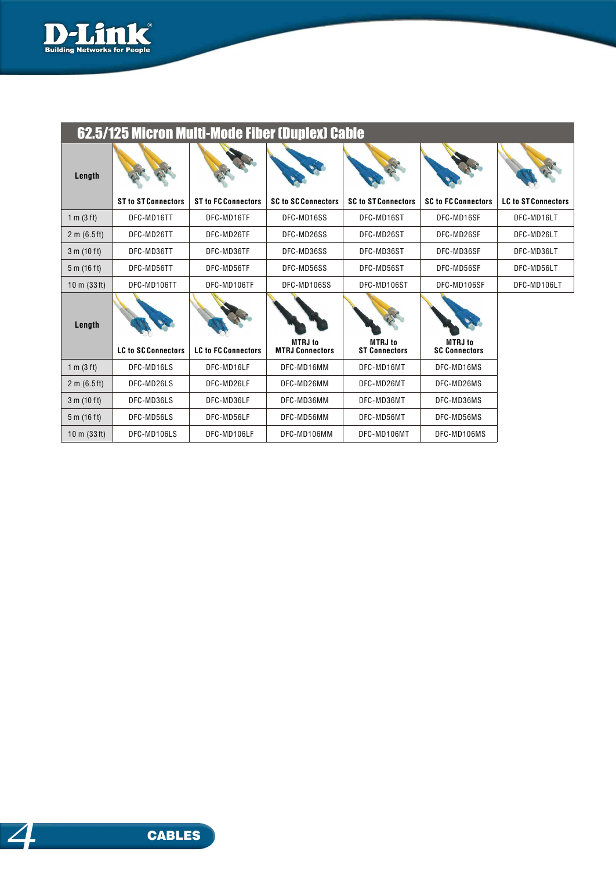

|                       | 62.5/125 Micron Multi-Mode Fiber (Duplex) Cable |                            |                                          |                                        |                                        |                            |
|-----------------------|-------------------------------------------------|----------------------------|------------------------------------------|----------------------------------------|----------------------------------------|----------------------------|
| Length                |                                                 |                            |                                          |                                        |                                        |                            |
|                       | <b>ST to ST Connectors</b>                      | <b>ST to FC Connectors</b> | <b>SC to SC Connectors</b>               | <b>SC to ST Connectors</b>             | <b>SC to FC Connectors</b>             | <b>LC to ST Connectors</b> |
| 1 m (3 ft)            | DFC-MD16TT                                      | DFC-MD16TF                 | DFC-MD16SS                               | DFC-MD16ST                             | DFC-MD16SF                             | DFC-MD16LT                 |
| 2 m (6.5 ft)          | DFC-MD26TT                                      | DFC-MD26TF                 | DFC-MD26SS                               | DFC-MD26ST                             | DFC-MD26SF                             | DFC-MD26LT                 |
| 3 m (10 ft)           | DFC-MD36TT                                      | DFC-MD36TF                 | DFC-MD36SS                               | DFC-MD36ST                             | DFC-MD36SF                             | DFC-MD36LT                 |
| 5 m (16 ft)           | DFC-MD56TT                                      | DFC-MD56TF                 | DFC-MD56SS                               | DFC-MD56ST                             | DFC-MD56SF                             | DFC-MD56LT                 |
| $10 \text{ m}$ (33ft) | DFC-MD106TT                                     | DFC-MD106TF                | DFC-MD106SS                              | DFC-MD106ST                            | DFC-MD106SF                            | DFC-MD106LT                |
| Length                |                                                 |                            |                                          |                                        |                                        |                            |
|                       | <b>LC to SC Connectors</b>                      | <b>LC to FC Connectors</b> | <b>MTRJ</b> to<br><b>MTRJ Connectors</b> | <b>MTRJ</b> to<br><b>ST Connectors</b> | <b>MTRJ</b> to<br><b>SC Connectors</b> |                            |
| 1 m $(3 ft)$          | DFC-MD16LS                                      | DFC-MD16LF                 | DFC-MD16MM                               | DFC-MD16MT                             | DFC-MD16MS                             |                            |
| 2 m (6.5 ft)          | DFC-MD26LS                                      | DFC-MD26LF                 | DFC-MD26MM                               | DFC-MD26MT                             | DFC-MD26MS                             |                            |
| 3 m (10 ft)           | DFC-MD36LS                                      | DFC-MD36LF                 | DFC-MD36MM                               | DFC-MD36MT                             | DFC-MD36MS                             |                            |
| 5 m (16 ft)           | DFC-MD56LS                                      | DFC-MD56LF                 | DFC-MD56MM                               | DFC-MD56MT                             | DFC-MD56MS                             |                            |
| $10 \text{ m}$ (33ft) | DFC-MD106LS                                     | DFC-MD106LF                | DFC-MD106MM                              | DFC-MD106MT                            | DFC-MD106MS                            |                            |

## 62.5/125 Micron Multi-Mode Fiber (Duplex) Cable

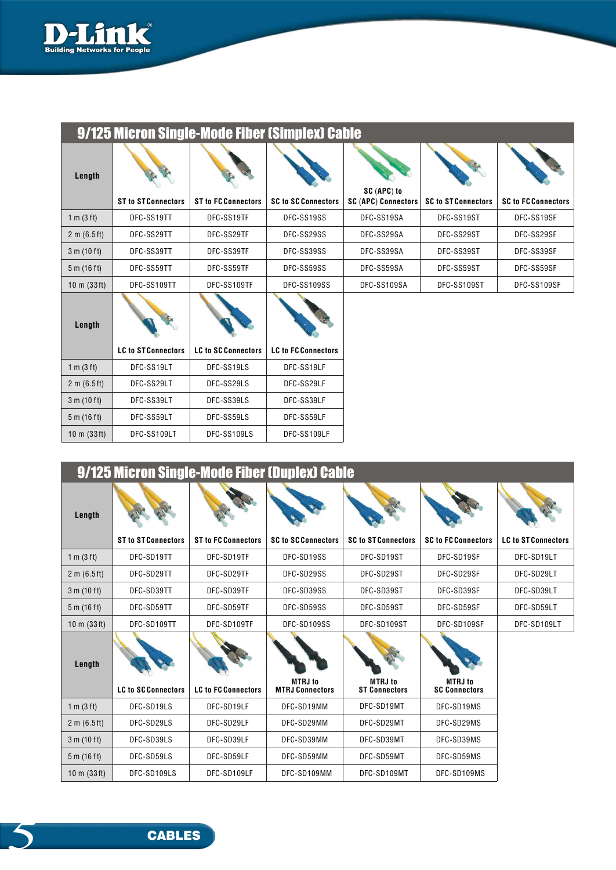

| 9/125 Micron Single-Mode Fiber (Simplex) Cable |                            |                            |                            |                                           |                            |                            |
|------------------------------------------------|----------------------------|----------------------------|----------------------------|-------------------------------------------|----------------------------|----------------------------|
| Length                                         | <b>ST to ST Connectors</b> | <b>ST to FC Connectors</b> | <b>SC to SC Connectors</b> | SC (APC) to<br><b>SC (APC) Connectors</b> | <b>SC to ST Connectors</b> | <b>SC to FC Connectors</b> |
| 1 m (3 ft)                                     | DFC-SS19TT                 | DFC-SS19TF                 | DFC-SS19SS                 | DFC-SS19SA                                | DFC-SS19ST                 | DFC-SS19SF                 |
| 2 m (6.5 ft)                                   | DFC-SS29TT                 | DFC-SS29TF                 | DFC-SS29SS                 | DFC-SS29SA                                | DFC-SS29ST                 | DFC-SS29SF                 |
| 3 m (10 ft)                                    | DFC-SS39TT                 | DFC-SS39TF                 | DFC-SS39SS                 | DFC-SS39SA                                | DFC-SS39ST                 | DFC-SS39SF                 |
| 5 m (16 ft)                                    | DFC-SS59TT                 | DFC-SS59TF                 | DFC-SS59SS                 | DFC-SS59SA                                | DFC-SS59ST                 | DFC-SS59SF                 |
| $10 \text{ m}$ (33ft)                          | DFC-SS109TT                | DFC-SS109TF                | DFC-SS109SS                | DFC-SS109SA                               | DFC-SS109ST                | DFC-SS109SF                |
| Length                                         |                            |                            |                            |                                           |                            |                            |
|                                                | <b>LC to ST Connectors</b> | <b>LC to SC Connectors</b> | <b>LC to FC Connectors</b> |                                           |                            |                            |
| 1 m $(3 ft)$                                   | DFC-SS19LT                 | DFC-SS19LS                 | DFC-SS19LF                 |                                           |                            |                            |
| 2 m (6.5 ft)                                   | DFC-SS29LT                 | DFC-SS29LS                 | DFC-SS29LF                 |                                           |                            |                            |

DFC-SS39LF DFC-SS59LF DFC-SS109LF

| 9/125 Micron Single-Mode Fiber (Duplex) Cable |                            |                            |                                          |                                        |                                        |                            |
|-----------------------------------------------|----------------------------|----------------------------|------------------------------------------|----------------------------------------|----------------------------------------|----------------------------|
| Length                                        |                            | <b>ST to FC Connectors</b> | <b>SC to SC Connectors</b>               |                                        |                                        | <b>LC to ST Connectors</b> |
|                                               | <b>ST to ST Connectors</b> |                            |                                          | <b>SC to ST Connectors</b>             | <b>SC to FC Connectors</b>             |                            |
| 1 m (3 ft)                                    | DFC-SD19TT                 | DFC-SD19TF                 | DFC-SD19SS                               | DFC-SD19ST                             | DFC-SD19SF                             | DFC-SD19LT                 |
| 2 m (6.5 ft)                                  | DFC-SD29TT                 | DFC-SD29TF                 | DFC-SD29SS                               | DFC-SD29ST                             | DFC-SD29SF                             | DFC-SD29LT                 |
| 3 m (10 ft)                                   | DFC-SD39TT                 | DFC-SD39TF                 | DFC-SD39SS                               | DFC-SD39ST                             | DFC-SD39SF                             | DFC-SD39LT                 |
| 5 m (16 ft)                                   | DFC-SD59TT                 | DFC-SD59TF                 | DFC-SD59SS                               | DFC-SD59ST                             | DFC-SD59SF                             | DFC-SD59LT                 |
| $10 \text{ m}$ (33ft)                         | DFC-SD109TT                | DFC-SD109TF                | DFC-SD109SS                              | DFC-SD109ST                            | DFC-SD109SF                            | DFC-SD109LT                |
| Length                                        |                            |                            |                                          |                                        |                                        |                            |
|                                               | <b>LC to SCConnectors</b>  | <b>LC to FC Connectors</b> | <b>MTRJ</b> to<br><b>MTRJ Connectors</b> | <b>MTRJ</b> to<br><b>ST Connectors</b> | <b>MTRJ</b> to<br><b>SC Connectors</b> |                            |
| 1 m (3 ft)                                    | DFC-SD19LS                 | DFC-SD19LF                 | DFC-SD19MM                               | DFC-SD19MT                             | DFC-SD19MS                             |                            |
| 2 m (6.5 ft)                                  | DFC-SD29LS                 | DFC-SD29LF                 | DFC-SD29MM                               | DFC-SD29MT                             | DFC-SD29MS                             |                            |
| 3 m (10 ft)                                   | DFC-SD39LS                 | DFC-SD39LF                 | DFC-SD39MM                               | DFC-SD39MT                             | DFC-SD39MS                             |                            |
| 5 m (16 ft)                                   | DFC-SD59LS                 | DFC-SD59LF                 | DFC-SD59MM                               | DFC-SD59MT                             | DFC-SD59MS                             |                            |
| $10 \text{ m}$ (33ft)                         | DFC-SD109LS                | DFC-SD109LF                | DFC-SD109MM                              | DFC-SD109MT                            | DFC-SD109MS                            |                            |

DFC-SS39LT DFC-SS59LT DFC-SS109LT

3 m (10 f t) 5 m (16 f t) 10 m (33 ft) DFC-SS39LS DFC-SS59LS DFC-SS109LS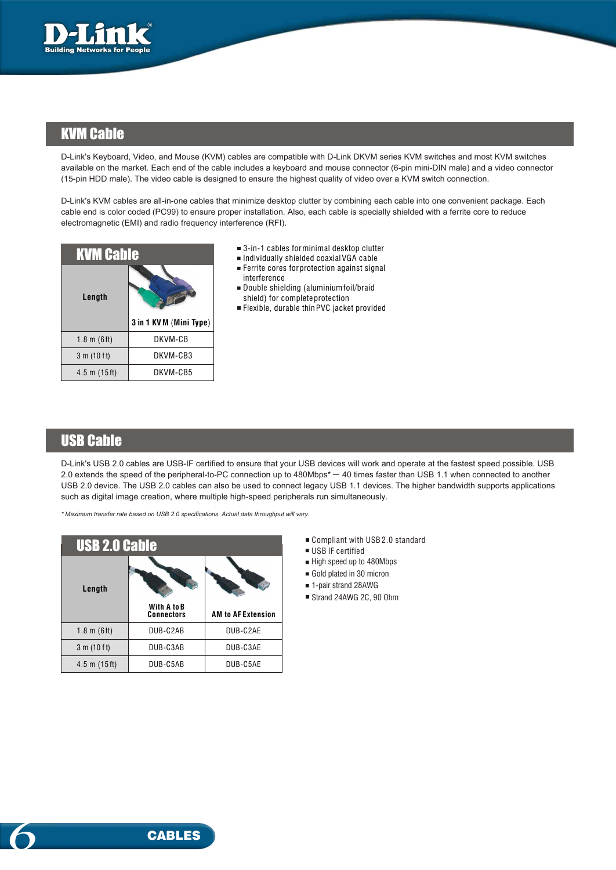

### KVM Cable

D-Link's Keyboard, Video, and Mouse (KVM) cables are compatible with D-Link DKVM series KVM switches and most KVM switches available on the market. Each end of the cable includes a keyboard and mouse connector (6-pin mini-DIN male) and a video connector (15-pin HDD male). The video cable is designed to ensure the highest quality of video over a KVM switch connection.

D-Link's KVM cables are all-in-one cables that minimize desktop clutter by combining each cable into one convenient package. Each cable end is color coded (PC99) to ensure proper installation. Also, each cable is specially shielded with a ferrite core to reduce electromagnetic (EMI) and radio frequency interference (RFI).

| <b>KVM Cable</b> |                        |  |  |  |
|------------------|------------------------|--|--|--|
| Length           |                        |  |  |  |
|                  | 3 in 1 KVM (Mini Type) |  |  |  |
| 1.8 m $(6 ft)$   | DKVM-CB                |  |  |  |
| 3 m (10 ft)      | DKVM-CB3               |  |  |  |

- 3-in-1 cables for minimal desktop clutter
- $\blacksquare$  Individually shielded coaxial $\sf VGA$  cable Ferrite cores for protection against signal
- Double shielding (aluminium foil/braid interference shield) for complete protection
- Flexible, durable thin PVC jacket provided

### USB Cable

D-Link's USB 2.0 cables are USB-IF certified to ensure that your USB devices will work and operate at the fastest speed possible. USB 2.0 extends the speed of the peripheral-to-PC connection up to 480Mbps\* 40 times faster than USB 1.1 when connected to another USB 2.0 device. The USB 2.0 cables can also be used to connect legacy USB 1.1 devices. The higher bandwidth supports applications such as digital image creation, where multiple high-speed peripherals run simultaneously.

*\* Maximum transfer rate based on USB 2.0 specifications. Actual data throughput will vary.*

| <b>USB 2.0 Cable</b>  |                                  |                           |  |  |  |  |
|-----------------------|----------------------------------|---------------------------|--|--|--|--|
| Length                |                                  |                           |  |  |  |  |
|                       | With A to B<br><b>Connectors</b> | <b>AM to AF Extension</b> |  |  |  |  |
|                       |                                  |                           |  |  |  |  |
| $1.8 \text{ m}$ (6ft) | DUB-C2AB                         | DUB-C2AE                  |  |  |  |  |
| 3 m (10 ft)           | DUB-C3AB                         | DUB-C3AE                  |  |  |  |  |

- Compliant with USB 2.0 standard
- USB IF certified
- High speed up to 480Mbps
- Gold plated in 30 micron
- 1-pair strand 28AWG
- Strand 24AWG 2C, 90 Ohm